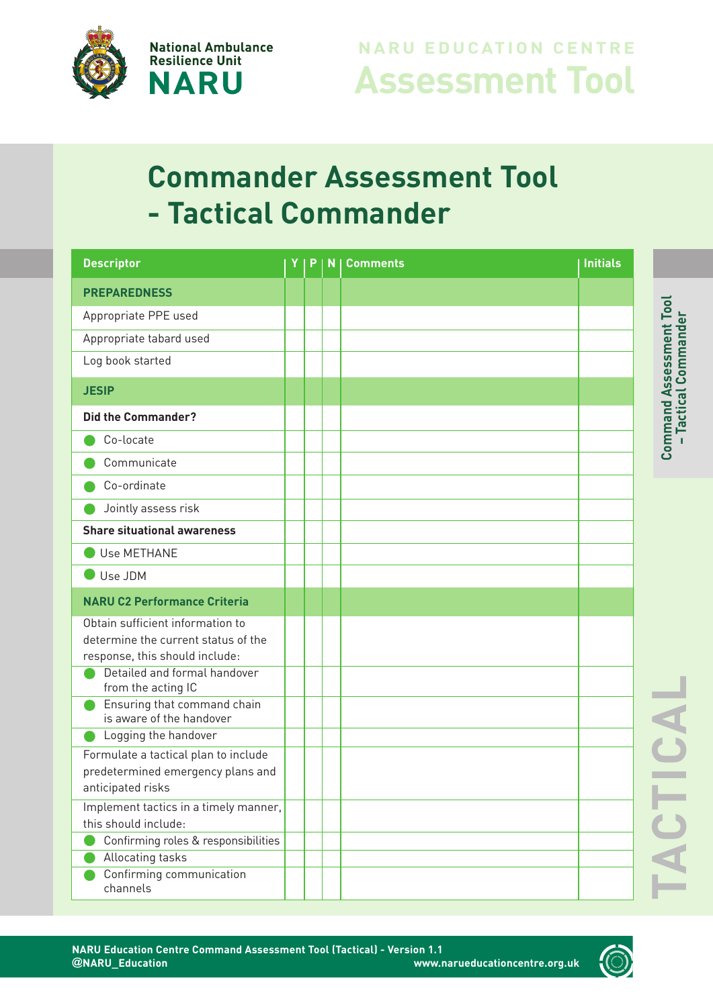

### **Assessment Tool NARU EDUCATION CENTRE**

# **Commander Assessment Tool - Tactical Commander**

| <b>Descriptor</b>                                  | P | N | <b>Comments</b> | <b>Initials</b> |
|----------------------------------------------------|---|---|-----------------|-----------------|
| <b>PREPAREDNESS</b>                                |   |   |                 |                 |
| Appropriate PPE used                               |   |   |                 |                 |
| Appropriate tabard used                            |   |   |                 |                 |
| Log book started                                   |   |   |                 |                 |
| <b>JESIP</b>                                       |   |   |                 |                 |
| <b>Did the Commander?</b>                          |   |   |                 |                 |
| Co-locate                                          |   |   |                 |                 |
| Communicate                                        |   |   |                 |                 |
| Co-ordinate                                        |   |   |                 |                 |
| Jointly assess risk                                |   |   |                 |                 |
| <b>Share situational awareness</b>                 |   |   |                 |                 |
| Use METHANE                                        |   |   |                 |                 |
| Use JDM                                            |   |   |                 |                 |
| <b>NARU C2 Performance Criteria</b>                |   |   |                 |                 |
| Obtain sufficient information to                   |   |   |                 |                 |
| determine the current status of the                |   |   |                 |                 |
| response, this should include:                     |   |   |                 |                 |
| Detailed and formal handover<br>from the acting IC |   |   |                 |                 |
| Ensuring that command chain                        |   |   |                 |                 |
| is aware of the handover                           |   |   |                 |                 |
| Logging the handover                               |   |   |                 |                 |
| Formulate a tactical plan to include               |   |   |                 |                 |
| predetermined emergency plans and                  |   |   |                 |                 |
| anticipated risks                                  |   |   |                 |                 |
| Implement tactics in a timely manner,              |   |   |                 |                 |
| this should include:                               |   |   |                 |                 |
| Confirming roles & responsibilities                |   |   |                 |                 |
| Allocating tasks                                   |   |   |                 |                 |
| Confirming communication<br>channels               |   |   |                 |                 |

 $\vdash$ **A**

**C**

 $\vdash$ **I**

**C**

**A**

**L**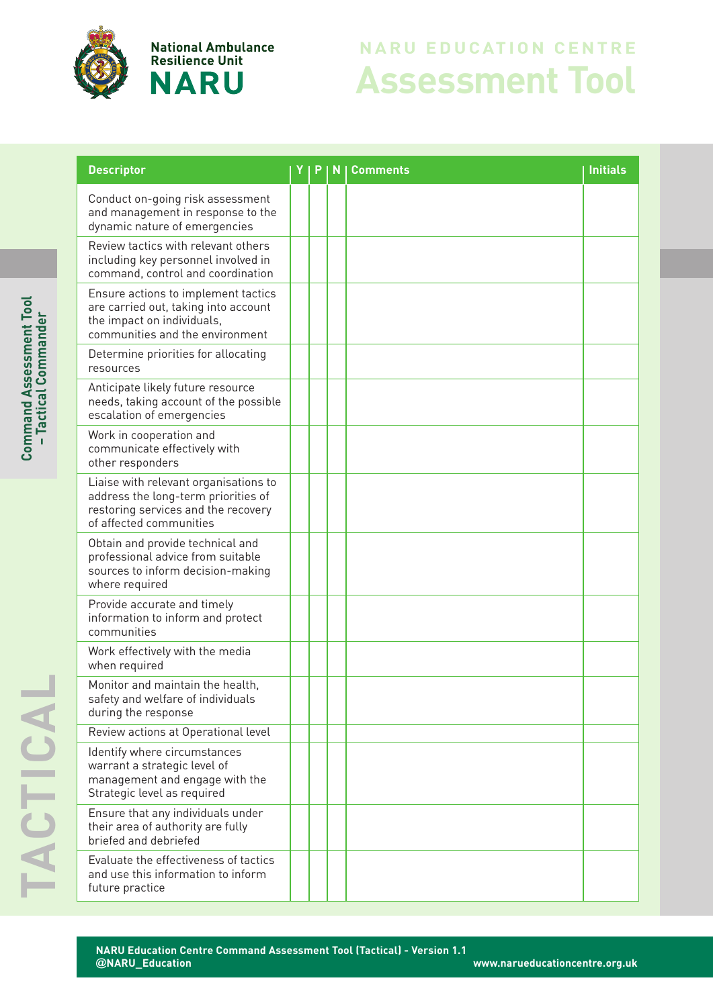

**National Ambulance Resilience Unit NARU** 

## **Assessment Tool NARU EDUCATION CENTRE**

| <b>Descriptor</b>                                                                                                                              | P | N | <b>Comments</b> | <b>Initials</b> |
|------------------------------------------------------------------------------------------------------------------------------------------------|---|---|-----------------|-----------------|
| Conduct on-going risk assessment<br>and management in response to the<br>dynamic nature of emergencies                                         |   |   |                 |                 |
| Review tactics with relevant others<br>including key personnel involved in<br>command, control and coordination                                |   |   |                 |                 |
| Ensure actions to implement tactics<br>are carried out, taking into account<br>the impact on individuals,<br>communities and the environment   |   |   |                 |                 |
| Determine priorities for allocating<br>resources                                                                                               |   |   |                 |                 |
| Anticipate likely future resource<br>needs, taking account of the possible<br>escalation of emergencies                                        |   |   |                 |                 |
| Work in cooperation and<br>communicate effectively with<br>other responders                                                                    |   |   |                 |                 |
| Liaise with relevant organisations to<br>address the long-term priorities of<br>restoring services and the recovery<br>of affected communities |   |   |                 |                 |
| Obtain and provide technical and<br>professional advice from suitable<br>sources to inform decision-making<br>where required                   |   |   |                 |                 |
| Provide accurate and timely<br>information to inform and protect<br>communities                                                                |   |   |                 |                 |
| Work effectively with the media<br>when required                                                                                               |   |   |                 |                 |
| Monitor and maintain the health,<br>safety and welfare of individuals<br>during the response                                                   |   |   |                 |                 |
| Review actions at Operational level                                                                                                            |   |   |                 |                 |
| Identify where circumstances<br>warrant a strategic level of<br>management and engage with the<br>Strategic level as required                  |   |   |                 |                 |
| Ensure that any individuals under<br>their area of authority are fully<br>briefed and debriefed                                                |   |   |                 |                 |
| Evaluate the effectiveness of tactics<br>and use this information to inform<br>future practice                                                 |   |   |                 |                 |

 $\mathbf{\mathbf{c}}$